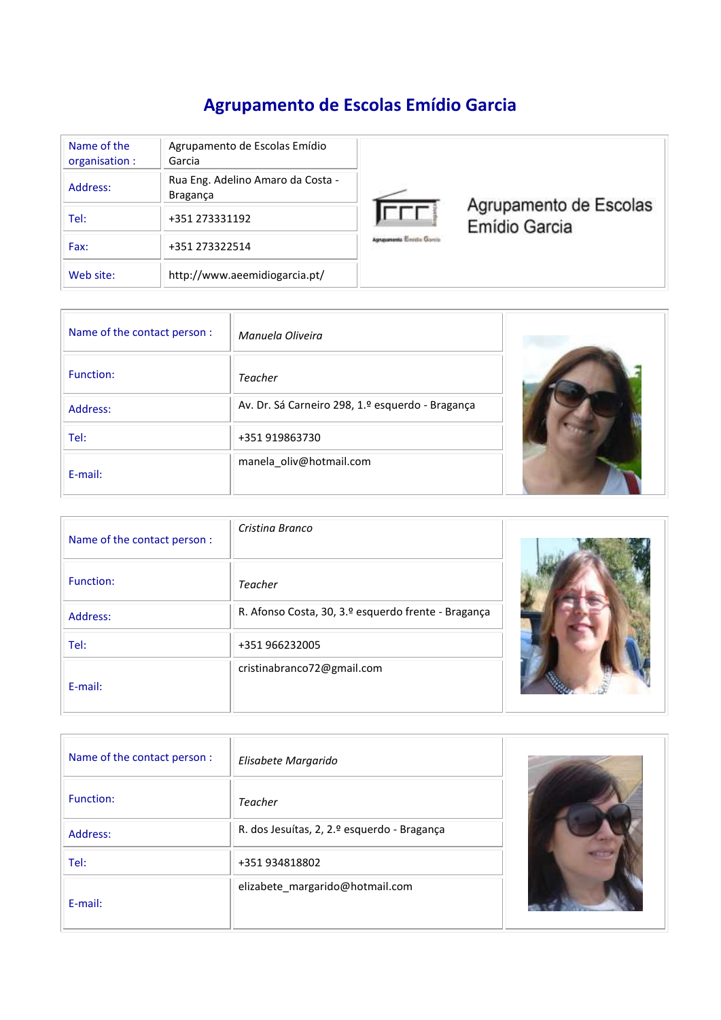# **Agrupamento de Escolas Emídio Garcia**

| Name of the<br>organisation : | Agrupamento de Escolas Emídio<br>Garcia              |
|-------------------------------|------------------------------------------------------|
| Address:                      | Rua Eng. Adelino Amaro da Costa -<br><b>Bragança</b> |
| Tel:                          | +351 273331192                                       |
| Fax:                          | +351 273322514                                       |
| Web site:                     | http://www.aeemidiogarcia.pt/                        |



Agrupamento de Escolas<br>Emídio Garcia

| Name of the contact person : | Manuela Oliveira                                 |  |
|------------------------------|--------------------------------------------------|--|
| Function:                    | <b>Teacher</b>                                   |  |
| Address:                     | Av. Dr. Sá Carneiro 298, 1.º esquerdo - Bragança |  |
| Tel:                         | +351 919863730                                   |  |
| E-mail:                      | manela_oliv@hotmail.com                          |  |

| Name of the contact person : | Cristina Branco                                     |  |
|------------------------------|-----------------------------------------------------|--|
| Function:                    | <b>Teacher</b>                                      |  |
| Address:                     | R. Afonso Costa, 30, 3.º esquerdo frente - Bragança |  |
| Tel:                         | +351 966232005                                      |  |
| E-mail:                      | cristinabranco72@gmail.com                          |  |

| Name of the contact person : | Elisabete Margarido                         |  |
|------------------------------|---------------------------------------------|--|
| Function:                    | <b>Teacher</b>                              |  |
| Address:                     | R. dos Jesuítas, 2, 2.º esquerdo - Bragança |  |
| Tel:                         | +351 934818802                              |  |
| E-mail:                      | elizabete_margarido@hotmail.com             |  |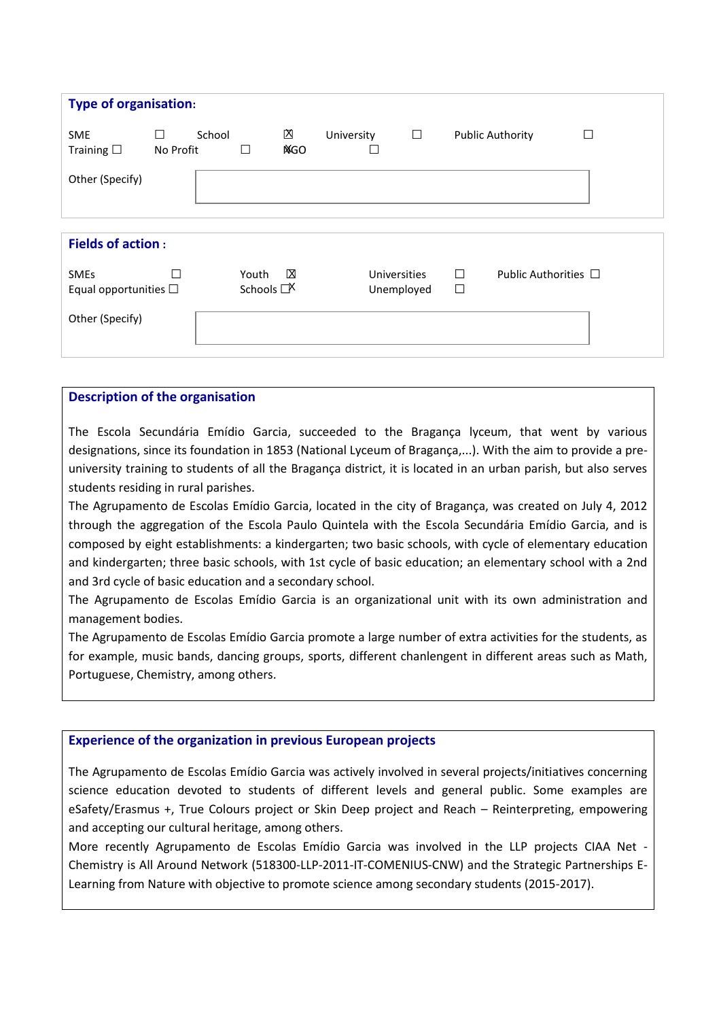| <b>Type of organisation:</b>              |                |        |                         |                 |            |                            |        |        |                         |                           |
|-------------------------------------------|----------------|--------|-------------------------|-----------------|------------|----------------------------|--------|--------|-------------------------|---------------------------|
| <b>SME</b><br>Training $\square$          | □<br>No Profit | School | П                       | 囟<br><b>NGO</b> | University | $\Box$                     | $\Box$ |        | <b>Public Authority</b> |                           |
| Other (Specify)                           |                |        |                         |                 |            |                            |        |        |                         |                           |
| <b>Fields of action:</b>                  |                |        |                         |                 |            |                            |        |        |                         |                           |
| <b>SMEs</b><br>Equal opportunities $\Box$ | H              |        | Youth<br>Schools $\Box$ | $\boxtimes$     |            | Universities<br>Unemployed |        | п<br>□ |                         | Public Authorities $\Box$ |
| Other (Specify)                           |                |        |                         |                 |            |                            |        |        |                         |                           |

## **Description of the organisation**

The Escola Secundária Emídio Garcia, succeeded to the Bragança lyceum, that went by various designations, since its foundation in 1853 (National Lyceum of Bragança,...). With the aim to provide a preuniversity training to students of all the Bragança district, it is located in an urban parish, but also serves students residing in rural parishes.

The Agrupamento de Escolas Emídio Garcia, located in the city of Bragança, was created on July 4, 2012 through the aggregation of the Escola Paulo Quintela with the Escola Secundária Emídio Garcia, and is composed by eight establishments: a kindergarten; two basic schools, with cycle of elementary education and kindergarten; three basic schools, with 1st cycle of basic education; an elementary school with a 2nd and 3rd cycle of basic education and a secondary school.

The Agrupamento de Escolas Emídio Garcia is an organizational unit with its own administration and management bodies.

The Agrupamento de Escolas Emídio Garcia promote a large number of extra activities for the students, as for example, music bands, dancing groups, sports, different chanlengent in different areas such as Math, Portuguese, Chemistry, among others.

## **Experience of the organization in previous European projects**

The Agrupamento de Escolas Emídio Garcia was actively involved in several projects/initiatives concerning science education devoted to students of different levels and general public. Some examples are eSafety/Erasmus +, True Colours project or Skin Deep project and Reach – Reinterpreting, empowering and accepting our cultural heritage, among others.

More recently Agrupamento de Escolas Emídio Garcia was involved in the LLP projects CIAA Net - Chemistry is All Around Network (518300-LLP-2011-IT-COMENIUS-CNW) and the Strategic Partnerships E-Learning from Nature with objective to promote science among secondary students (2015-2017).